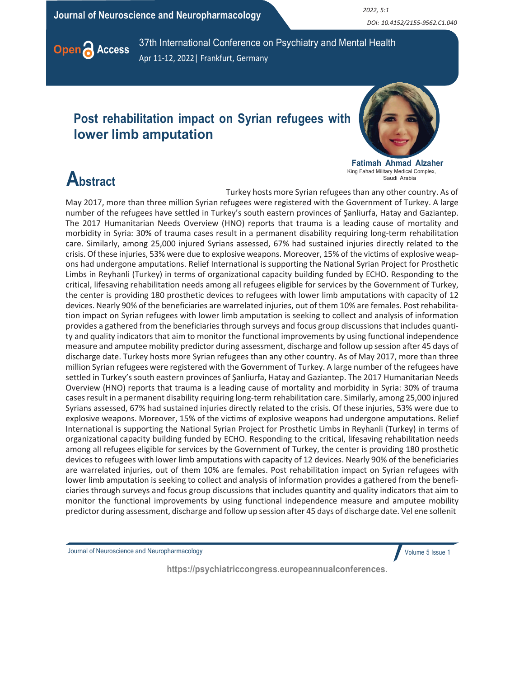Journal of Neuroscience and Neuropharmacology 2022, 5:1

DOI: 10.4152/2155-9562.C1.040



Open Access 37th International Conference on Psychiatry and Mental Health Apr 11-12, 2022| Frankfurt, Germany

### Post rehabilitation impact on Syrian refugees with lower limb amputation



Fatimah Ahmad Alzaher King Fahad Military Medical Complex, Saudi Arabia

## **Abstract**

Turkey hosts more Syrian refugees than any other country. As of May 2017, more than three million Syrian refugees were registered with the Government of Turkey. A large number of the refugees have settled in Turkey's south eastern provinces of Şanliurfa, Hatay and Gaziantep. The 2017 Humanitarian Needs Overview (HNO) reports that trauma is a leading cause of mortality and morbidity in Syria: 30% of trauma cases result in a permanent disability requiring long-term rehabilitation care. Similarly, among 25,000 injured Syrians assessed, 67% had sustained injuries directly related to the crisis. Of these injuries, 53% were due to explosive weapons. Moreover, 15% of the victims of explosive weapons had undergone amputations. Relief International is supporting the National Syrian Project for Prosthetic Limbs in Reyhanli (Turkey) in terms of organizational capacity building funded by ECHO. Responding to the critical, lifesaving rehabilitation needs among all refugees eligible for services by the Government of Turkey, the center is providing 180 prosthetic devices to refugees with lower limb amputations with capacity of 12 devices. Nearly 90% of the beneficiaries are warrelated injuries, out of them 10% are females. Post rehabilitation impact on Syrian refugees with lower limb amputation is seeking to collect and analysis of information provides a gathered from the beneficiaries through surveys and focus group discussions that includes quantity and quality indicators that aim to monitor the functional improvements by using functional independence measure and amputee mobility predictor during assessment, discharge and follow up session after 45 days of discharge date. Turkey hosts more Syrian refugees than any other country. As of May 2017, more than three million Syrian refugees were registered with the Government of Turkey. A large number of the refugees have settled in Turkey's south eastern provinces of Şanliurfa, Hatay and Gaziantep. The 2017 Humanitarian Needs Overview (HNO) reports that trauma is a leading cause of mortality and morbidity in Syria: 30% of trauma cases result in a permanent disability requiring long-term rehabilitation care. Similarly, among 25,000 injured Syrians assessed, 67% had sustained injuries directly related to the crisis. Of these injuries, 53% were due to explosive weapons. Moreover, 15% of the victims of explosive weapons had undergone amputations. Relief International is supporting the National Syrian Project for Prosthetic Limbs in Reyhanli (Turkey) in terms of organizational capacity building funded by ECHO. Responding to the critical, lifesaving rehabilitation needs among all refugees eligible for services by the Government of Turkey, the center is providing 180 prosthetic devices to refugees with lower limb amputations with capacity of 12 devices. Nearly 90% of the beneficiaries are warrelated injuries, out of them 10% are females. Post rehabilitation impact on Syrian refugees with lower limb amputation is seeking to collect and analysis of information provides a gathered from the beneficiaries through surveys and focus group discussions that includes quantity and quality indicators that aim to monitor the functional improvements by using functional independence measure and amputee mobility predictor during assessment, discharge and follow up session after 45 days of discharge date. Vel ene sollenit

Journal of Neuroscience and Neuropharmacology

Volume 5 Issue 1

https://psychiatriccongress.europeannualconferences.